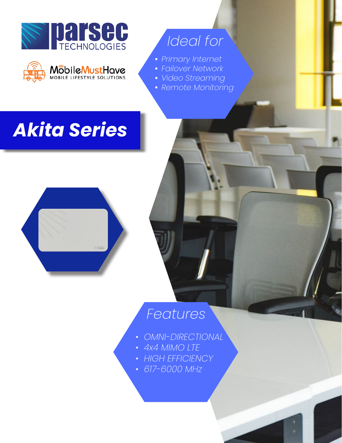



# *Ideal for*

- **•** *Primary Internet*
- **•** *Failover Network*
- **•** *Video Streaming*
- **•** *Remote Monitoring*

# *Akita Series*



## *Features*

- *OMNI-DIRECTIONAL*
- *4x4 MIMO LTE*
- *HIGH EFFICIENCY*
- *617-6000 MHz*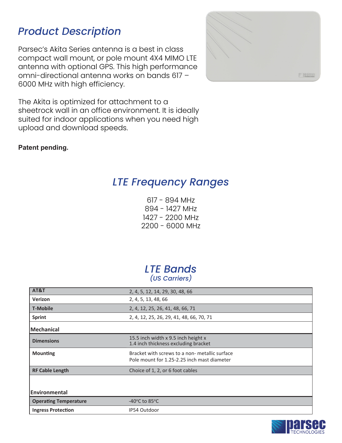compact wall mount, or pole mount 4X4 MIMO LTE antenna with optional GPS. This high performance omni-directional antenna works on bands 617 – 6000 MHz with high efficiency.

Parsec's Akita Series antenna is a best in class

*Product Description*



The Akita is optimized for attachment to a sheetrock wall in an office environment. It is ideally suited for indoor applications when you need high upload and download speeds.

#### **Patent pending.**

### *LTE Frequency Ranges*

617 - 894 MHz 894 - 1427 MHz 1427 - 2200 MHz 2200 - 6000 MHz PTA PRO5ST 2LTE 2WIFI GPS

#### *LTE Bands (US Carriers)*

| AT&T                         | 2, 4, 5, 12, 14, 29, 30, 48, 66                                                               |  |  |
|------------------------------|-----------------------------------------------------------------------------------------------|--|--|
| Verizon                      | 2, 4, 5, 13, 48, 66                                                                           |  |  |
| <b>T-Mobile</b>              | 2, 4, 12, 25, 26, 41, 48, 66, 71                                                              |  |  |
| <b>Sprint</b>                | 2, 4, 12, 25, 26, 29, 41, 48, 66, 70, 71                                                      |  |  |
| <b>Mechanical</b>            |                                                                                               |  |  |
| <b>Dimensions</b>            | 15.5 inch width x 9.5 inch height x<br>1.4 inch thickness excluding bracket                   |  |  |
| <b>Mounting</b>              | Bracket with screws to a non- metallic surface<br>Pole mount for 1.25-2.25 inch mast diameter |  |  |
| <b>RF Cable Length</b>       | Choice of 1, 2, or 6 foot cables                                                              |  |  |
|                              |                                                                                               |  |  |
| <b>Environmental</b>         |                                                                                               |  |  |
| <b>Operating Temperature</b> | -40 $\degree$ C to 85 $\degree$ C                                                             |  |  |
| <b>Ingress Protection</b>    | IP54 Outdoor                                                                                  |  |  |

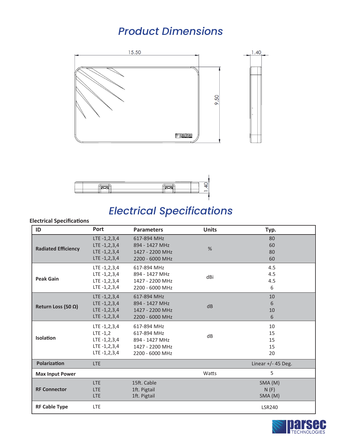### *Product Dimensions*





### *Electrical Specifications*

#### **Electrical Specifica�ons**

| ID                         | <b>Port</b>                                                                       | <b>Parameters</b>                                                                               | <b>Units</b> | Typ.                       |
|----------------------------|-----------------------------------------------------------------------------------|-------------------------------------------------------------------------------------------------|--------------|----------------------------|
| <b>Radiated Efficiency</b> | $LTE -1, 2, 3, 4$<br>$LTE - 1, 2, 3, 4$<br>$LTE -1, 2, 3, 4$<br>$LTE -1, 2, 3, 4$ | 617-894 MHz<br>894 - 1427 MHz<br>1427 - 2200 MHz<br>2200 - 6000 MHz                             | $\%$         | 80<br>60<br>80<br>60       |
| <b>Peak Gain</b>           | $LTE -1, 2, 3, 4$<br>LTE -1,2,3,4<br>$LTE -1, 2, 3, 4$<br>$LTE -1, 2, 3, 4$       | 617-894 MHz<br>894 - 1427 MHz<br>1427 - 2200 MHz<br>2200 - 6000 MHz                             | dBi          | 4.5<br>4.5<br>4.5<br>6     |
| Return Loss (50 $\Omega$ ) | $LTE -1, 2, 3, 4$<br>$LTE -1, 2, 3, 4$<br>$LTE -1, 2, 3, 4$<br>$LTE -1, 2, 3, 4$  | 617-894 MHz<br>894 - 1427 MHz<br>1427 - 2200 MHz<br>2200 - 6000 MHz                             | dB           | 10<br>6<br>10<br>6         |
| Isolation                  | $LTE -1, 2, 3, 4$<br>$LTE -1,2$<br>$LTE - 1, 2, 3, 4$<br>LTE -1,2,3,4             | 617-894 MHz<br>617-894 MHz<br>894 - 1427 MHz<br>LTE -1,2,3,4 1427 - 2200 MHz<br>2200 - 6000 MHz | dB           | 10<br>15<br>15<br>15<br>20 |
| <b>Polarization</b>        | <b>LTE</b>                                                                        |                                                                                                 |              | Linear $+/-$ 45 Deg.       |
| <b>Max Input Power</b>     |                                                                                   |                                                                                                 | Watts        | 5                          |
| <b>RF Connector</b>        | <b>LTE</b><br><b>LTE</b><br><b>LTE</b>                                            | 15ft. Cable<br>1ft. Pigtail<br>1ft. Pigtail                                                     |              | SMA (M)<br>N(F)<br>SMA (M) |
| <b>RF Cable Type</b>       | <b>LTE</b>                                                                        |                                                                                                 |              | <b>LSR240</b>              |